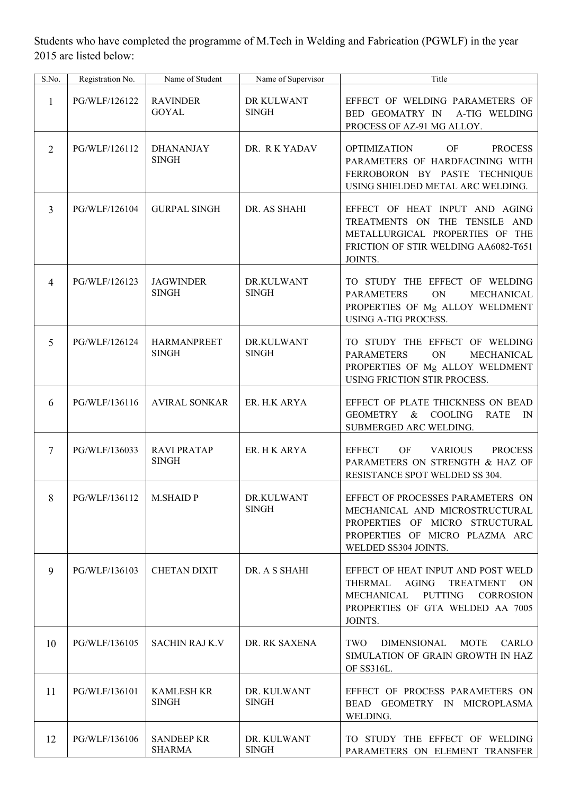Students who have completed the programme of M.Tech in Welding and Fabrication (PGWLF) in the year 2015 are listed below:

| S.No.          | Registration No. | Name of Student                    | Name of Supervisor          | Title                                                                                                                                                                                      |  |  |
|----------------|------------------|------------------------------------|-----------------------------|--------------------------------------------------------------------------------------------------------------------------------------------------------------------------------------------|--|--|
| 1              | PG/WLF/126122    | <b>RAVINDER</b><br><b>GOYAL</b>    | DR KULWANT<br><b>SINGH</b>  | EFFECT OF WELDING PARAMETERS OF<br>BED GEOMATRY IN<br>A-TIG WELDING<br>PROCESS OF AZ-91 MG ALLOY.                                                                                          |  |  |
| $\overline{2}$ | PG/WLF/126112    | <b>DHANANJAY</b><br><b>SINGH</b>   | DR. RKYADAV                 | <b>OF</b><br><b>OPTIMIZATION</b><br><b>PROCESS</b><br>PARAMETERS OF HARDFACINING WITH<br>FERROBORON BY PASTE TECHNIQUE<br>USING SHIELDED METAL ARC WELDING.                                |  |  |
| $\overline{3}$ | PG/WLF/126104    | <b>GURPAL SINGH</b>                | DR. AS SHAHI                | EFFECT OF HEAT INPUT AND AGING<br>TREATMENTS ON THE TENSILE AND<br>METALLURGICAL PROPERTIES OF THE<br>FRICTION OF STIR WELDING AA6082-T651<br>JOINTS.                                      |  |  |
| $\overline{4}$ | PG/WLF/126123    | <b>JAGWINDER</b><br><b>SINGH</b>   | DR.KULWANT<br><b>SINGH</b>  | TO STUDY THE EFFECT OF WELDING<br><b>PARAMETERS</b><br>ON<br>MECHANICAL<br>PROPERTIES OF Mg ALLOY WELDMENT<br><b>USING A-TIG PROCESS.</b>                                                  |  |  |
| 5              | PG/WLF/126124    | <b>HARMANPREET</b><br><b>SINGH</b> | DR.KULWANT<br><b>SINGH</b>  | TO STUDY THE EFFECT OF WELDING<br><b>PARAMETERS</b><br>ON<br>MECHANICAL<br>PROPERTIES OF Mg ALLOY WELDMENT<br>USING FRICTION STIR PROCESS.                                                 |  |  |
| 6              | PG/WLF/136116    | <b>AVIRAL SONKAR</b>               | ER. H.K ARYA                | EFFECT OF PLATE THICKNESS ON BEAD<br><b>GEOMETRY</b><br>$\&$<br><b>COOLING</b><br><b>RATE</b><br>IN<br>SUBMERGED ARC WELDING.                                                              |  |  |
| $\overline{7}$ | PG/WLF/136033    | <b>RAVI PRATAP</b><br><b>SINGH</b> | ER. H K ARYA                | <b>EFFECT</b><br>OF<br><b>VARIOUS</b><br><b>PROCESS</b><br>PARAMETERS ON STRENGTH & HAZ OF<br>RESISTANCE SPOT WELDED SS 304.                                                               |  |  |
| 8              | PG/WLF/136112    | <b>M.SHAID P</b>                   | DR.KULWANT<br><b>SINGH</b>  | EFFECT OF PROCESSES PARAMETERS ON<br>MECHANICAL AND MICROSTRUCTURAL<br>PROPERTIES OF MICRO STRUCTURAL<br>PROPERTIES OF MICRO PLAZMA ARC<br>WELDED SS304 JOINTS.                            |  |  |
| 9              | PG/WLF/136103    | <b>CHETAN DIXIT</b>                | DR. A S SHAHI               | EFFECT OF HEAT INPUT AND POST WELD<br>THERMAL<br>AGING<br><b>TREATMENT</b><br><b>ON</b><br>MECHANICAL<br><b>PUTTING</b><br><b>CORROSION</b><br>PROPERTIES OF GTA WELDED AA 7005<br>JOINTS. |  |  |
| 10             | PG/WLF/136105    | <b>SACHIN RAJ K.V</b>              | DR. RK SAXENA               | TWO<br><b>DIMENSIONAL</b><br>MOTE<br>CARLO<br>SIMULATION OF GRAIN GROWTH IN HAZ<br>OF SS316L.                                                                                              |  |  |
| 11             | PG/WLF/136101    | <b>KAMLESH KR</b><br><b>SINGH</b>  | DR. KULWANT<br><b>SINGH</b> | EFFECT OF PROCESS PARAMETERS ON<br>BEAD GEOMETRY IN MICROPLASMA<br>WELDING.                                                                                                                |  |  |
| 12             | PG/WLF/136106    | <b>SANDEEP KR</b><br><b>SHARMA</b> | DR. KULWANT<br><b>SINGH</b> | TO STUDY THE EFFECT OF WELDING<br>PARAMETERS ON ELEMENT TRANSFER                                                                                                                           |  |  |